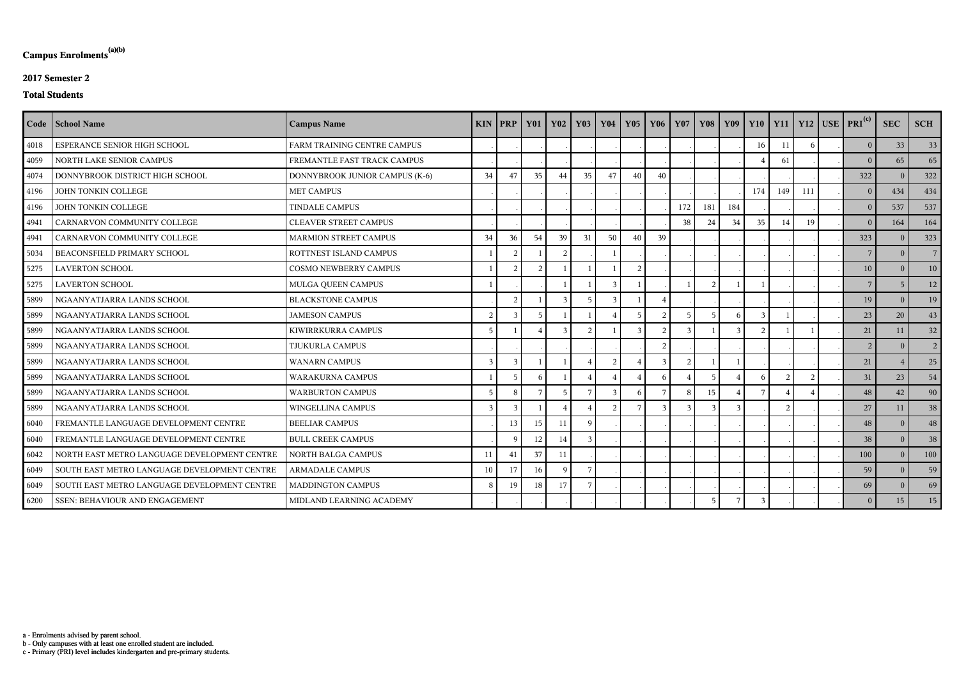c - Primary (PRI) level includes kindergarten and pre-primary students.

b - Only campuses with at least one enrolled student are included.

a - Enrolments advised by parent school.

## **Campus Enrolments(a)(b)**

### **2017 Semester 2**

### **Total Students**

|      | Code   School Name                           | <b>Campus Name</b>             | $KIN$   PRP    |                | <b>Y01</b> | <b>Y02</b>   | $\vert$ Y <sub>03</sub> | <b>Y04</b>     |                | $Y05$   $Y06$  | <b>Y07</b>   |                 |     |     |     |     | Y08 Y09 Y10 Y11 Y12 USE PRI <sup>(c)</sup> | <b>SEC</b>     | <b>SCH</b>     |
|------|----------------------------------------------|--------------------------------|----------------|----------------|------------|--------------|-------------------------|----------------|----------------|----------------|--------------|-----------------|-----|-----|-----|-----|--------------------------------------------|----------------|----------------|
| 4018 | ESPERANCE SENIOR HIGH SCHOOL                 | FARM TRAINING CENTRE CAMPUS    |                |                |            |              |                         |                |                |                |              |                 |     | 16  | 11  |     | 0 <sup>1</sup>                             | 33             | 33             |
| 4059 | NORTH LAKE SENIOR CAMPUS                     | FREMANTLE FAST TRACK CAMPUS    |                |                |            |              |                         |                |                |                |              |                 |     |     | 61  |     | $\Omega$                                   | 65             | 65             |
| 4074 | DONNYBROOK DISTRICT HIGH SCHOOL              | DONNYBROOK JUNIOR CAMPUS (K-6) | 34             | 47             | 35         | 44           | 35                      | 47             | 40             | 40             |              |                 |     |     |     |     | 322                                        | $\overline{0}$ | 322            |
| 4196 | JOHN TONKIN COLLEGE                          | <b>MET CAMPUS</b>              |                |                |            |              |                         |                |                |                |              |                 |     | 174 | 149 | 111 | $\overline{0}$                             | 434            | 434            |
| 4196 | JOHN TONKIN COLLEGE                          | <b>TINDALE CAMPUS</b>          |                |                |            |              |                         |                |                |                | 172          | 181             | 184 |     |     |     | $\overline{0}$                             | 537            | 537            |
| 4941 | CARNARVON COMMUNITY COLLEGE                  | <b>CLEAVER STREET CAMPUS</b>   |                |                |            |              |                         |                |                |                | 38           | 24              | 34  | 35  | 14  | 19  | 0                                          | 164            | 164            |
| 4941 | CARNARVON COMMUNITY COLLEGE                  | <b>MARMION STREET CAMPUS</b>   | 34             | 36             | 54         | 39           | 31                      | 50             | 40             | 39             |              |                 |     |     |     |     | 323                                        | $\Omega$       | 323            |
| 5034 | BEACONSFIELD PRIMARY SCHOOL                  | ROTTNEST ISLAND CAMPUS         |                | 2              |            | 2            |                         |                |                |                |              |                 |     |     |     |     | $7\overline{ }$                            | $\overline{0}$ | 7 <sup>1</sup> |
| 5275 | <b>LAVERTON SCHOOL</b>                       | <b>COSMO NEWBERRY CAMPUS</b>   |                | $\overline{2}$ |            |              |                         |                | $\overline{2}$ |                |              |                 |     |     |     |     | 10                                         | $\overline{0}$ | 10             |
| 5275 | <b>LAVERTON SCHOOL</b>                       | MULGA QUEEN CAMPUS             |                |                |            |              |                         | 3              |                |                |              | $\bigcap$       |     |     |     |     | $\overline{7}$                             | -5             | 12             |
| 5899 | NGAANYATJARRA LANDS SCHOOL                   | <b>BLACKSTONE CAMPUS</b>       |                | 2              |            |              |                         | $\mathcal{R}$  |                |                |              |                 |     |     |     |     | 19                                         | $\Omega$       | 19             |
| 5899 | NGAANYATJARRA LANDS SCHOOL                   | <b>JAMESON CAMPUS</b>          | 2              | $\overline{3}$ | -5         |              |                         |                |                | $\mathcal{D}$  |              | 5               |     |     |     |     | 23                                         | 20             | 43             |
| 5899 | NGAANYATJARRA LANDS SCHOOL                   | KIWIRRKURRA CAMPUS             | $\overline{5}$ |                |            | $\mathbf{R}$ | $\mathcal{D}$           |                | $\mathcal{R}$  | $\mathcal{D}$  | $\mathbf{3}$ |                 |     |     |     |     | 21                                         | 11             | 32             |
| 5899 | NGAANYATJARRA LANDS SCHOOL                   | TJUKURLA CAMPUS                |                |                |            |              |                         |                |                | $\overline{2}$ |              |                 |     |     |     |     | 2 <sup>1</sup>                             | $\overline{0}$ | 2 <sup>1</sup> |
| 5899 | NGAANYATJARRA LANDS SCHOOL                   | <b>WANARN CAMPUS</b>           | 3              | 3              |            |              |                         | $\overline{2}$ |                | $\mathbf{3}$   | 2            |                 |     |     |     |     | 21                                         |                | 25             |
| 5899 | NGAANYATJARRA LANDS SCHOOL                   | <b>WARAKURNA CAMPUS</b>        |                | 5              | -6         |              |                         |                |                | 6              |              | -5              |     |     |     |     | 31                                         | 23             | 54             |
| 5899 | NGAANYATJARRA LANDS SCHOOL                   | <b>WARBURTON CAMPUS</b>        | $\overline{5}$ | 8              |            | -5           | 7                       | $\mathcal{R}$  | 6              |                | 8            | 15              |     |     |     |     | 48                                         | 42             | 90             |
| 5899 | NGAANYATJARRA LANDS SCHOOL                   | WINGELLINA CAMPUS              | $\overline{3}$ | $\overline{3}$ |            |              |                         | $\mathcal{D}$  |                | $\mathbf{3}$   |              |                 |     |     |     |     | 27                                         | 11             | 38             |
| 6040 | FREMANTLE LANGUAGE DEVELOPMENT CENTRE        | <b>BEELIAR CAMPUS</b>          |                | 13             | 15         | 11           | q                       |                |                |                |              |                 |     |     |     |     | 48                                         | $\Omega$       | 48             |
| 6040 | FREMANTLE LANGUAGE DEVELOPMENT CENTRE        | <b>BULL CREEK CAMPUS</b>       |                | $\mathbf Q$    | 12         | 14           |                         |                |                |                |              |                 |     |     |     |     | 38                                         | $\Omega$       | 38             |
| 6042 | NORTH EAST METRO LANGUAGE DEVELOPMENT CENTRE | NORTH BALGA CAMPUS             | 11             | 41             | 37         | 11           |                         |                |                |                |              |                 |     |     |     |     | 100                                        | $\Omega$       | 100            |
| 6049 | SOUTH EAST METRO LANGUAGE DEVELOPMENT CENTRE | <b>ARMADALE CAMPUS</b>         | 10             | 17             | 16         | $\mathbf Q$  |                         |                |                |                |              |                 |     |     |     |     | 59                                         | $\Omega$       | 59             |
| 6049 | SOUTH EAST METRO LANGUAGE DEVELOPMENT CENTRE | MADDINGTON CAMPUS              | 8              | 19             | 18         | 17           |                         |                |                |                |              |                 |     |     |     |     | 69                                         | $\theta$       | 69             |
| 6200 | SSEN: BEHAVIOUR AND ENGAGEMENT               | MIDLAND LEARNING ACADEMY       |                |                |            |              |                         |                |                |                |              | $5\overline{)}$ |     |     |     |     | $\overline{0}$                             | 15             | 15             |